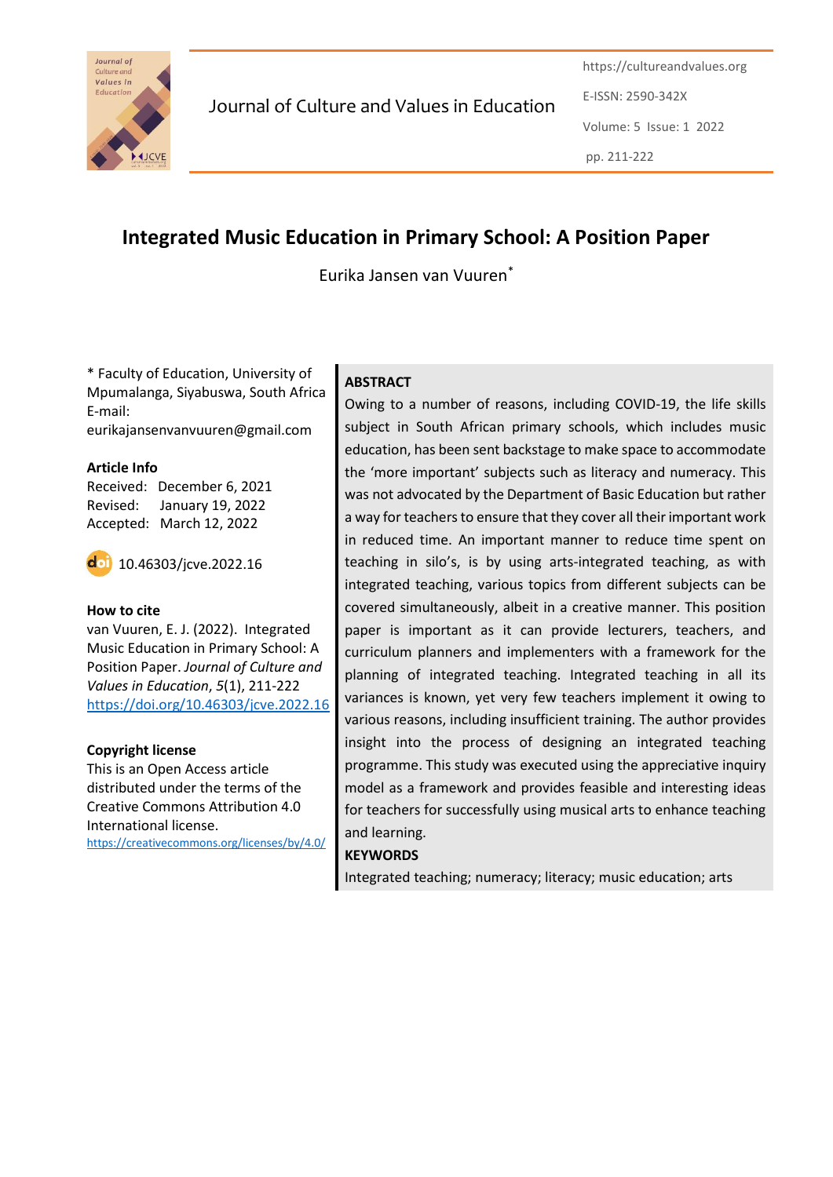

Journal of Culture and Values in Education

https://cultureandvalues.org E-ISSN: 2590-342X Volume: 5 Issue: 1 2022 pp. 211-222

# **Integrated Music Education in Primary School: A Position Paper**

Eurika Jansen van Vuuren\*

\* Faculty of Education, University of Mpumalanga, Siyabuswa, South Africa E-mail: eurikajansenvanvuuren@gmail.com

#### **Article Info**

Received: December 6, 2021 Revised: January 19, 2022 Accepted: March 12, 2022



10.46303/jcve.2022.16

#### **How to cite**

van Vuuren, E. J. (2022). Integrated Music Education in Primary School: A Position Paper. *Journal of Culture and Values in Education*, *5*(1), 211-222 <https://doi.org/10.46303/jcve.2022.16>

#### **Copyright license**

This is an Open Access article distributed under the terms of the Creative Commons Attribution 4.0 International license. <https://creativecommons.org/licenses/by/4.0/>

### **ABSTRACT**

Owing to a number of reasons, including COVID-19, the life skills subject in South African primary schools, which includes music education, has been sent backstage to make space to accommodate the 'more important' subjects such as literacy and numeracy. This was not advocated by the Department of Basic Education but rather a way for teachers to ensure that they cover all their important work in reduced time. An important manner to reduce time spent on teaching in silo's, is by using arts-integrated teaching, as with integrated teaching, various topics from different subjects can be covered simultaneously, albeit in a creative manner. This position paper is important as it can provide lecturers, teachers, and curriculum planners and implementers with a framework for the planning of integrated teaching. Integrated teaching in all its variances is known, yet very few teachers implement it owing to various reasons, including insufficient training. The author provides insight into the process of designing an integrated teaching programme. This study was executed using the appreciative inquiry model as a framework and provides feasible and interesting ideas for teachers for successfully using musical arts to enhance teaching and learning.

#### **KEYWORDS**

Integrated teaching; numeracy; literacy; music education; arts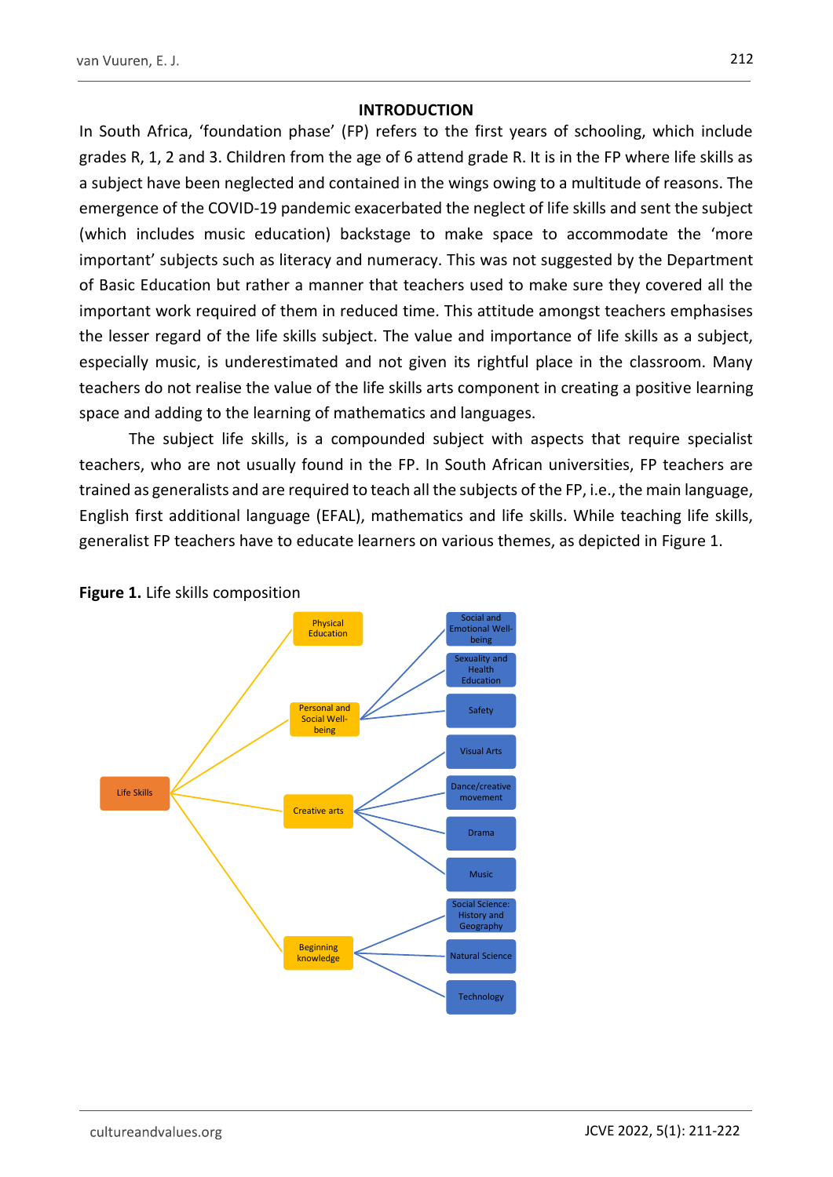### **INTRODUCTION**

In South Africa, 'foundation phase' (FP) refers to the first years of schooling, which include grades R, 1, 2 and 3. Children from the age of 6 attend grade R. It is in the FP where life skills as a subject have been neglected and contained in the wings owing to a multitude of reasons. The emergence of the COVID-19 pandemic exacerbated the neglect of life skills and sent the subject (which includes music education) backstage to make space to accommodate the 'more important' subjects such as literacy and numeracy. This was not suggested by the Department of Basic Education but rather a manner that teachers used to make sure they covered all the important work required of them in reduced time. This attitude amongst teachers emphasises the lesser regard of the life skills subject. The value and importance of life skills as a subject, especially music, is underestimated and not given its rightful place in the classroom. Many teachers do not realise the value of the life skills arts component in creating a positive learning space and adding to the learning of mathematics and languages.

The subject life skills, is a compounded subject with aspects that require specialist teachers, who are not usually found in the FP. In South African universities, FP teachers are trained as generalists and are required to teach all the subjects of the FP, i.e., the main language, English first additional language (EFAL), mathematics and life skills. While teaching life skills, generalist FP teachers have to educate learners on various themes, as depicted in Figure 1.



**Figure 1.** Life skills composition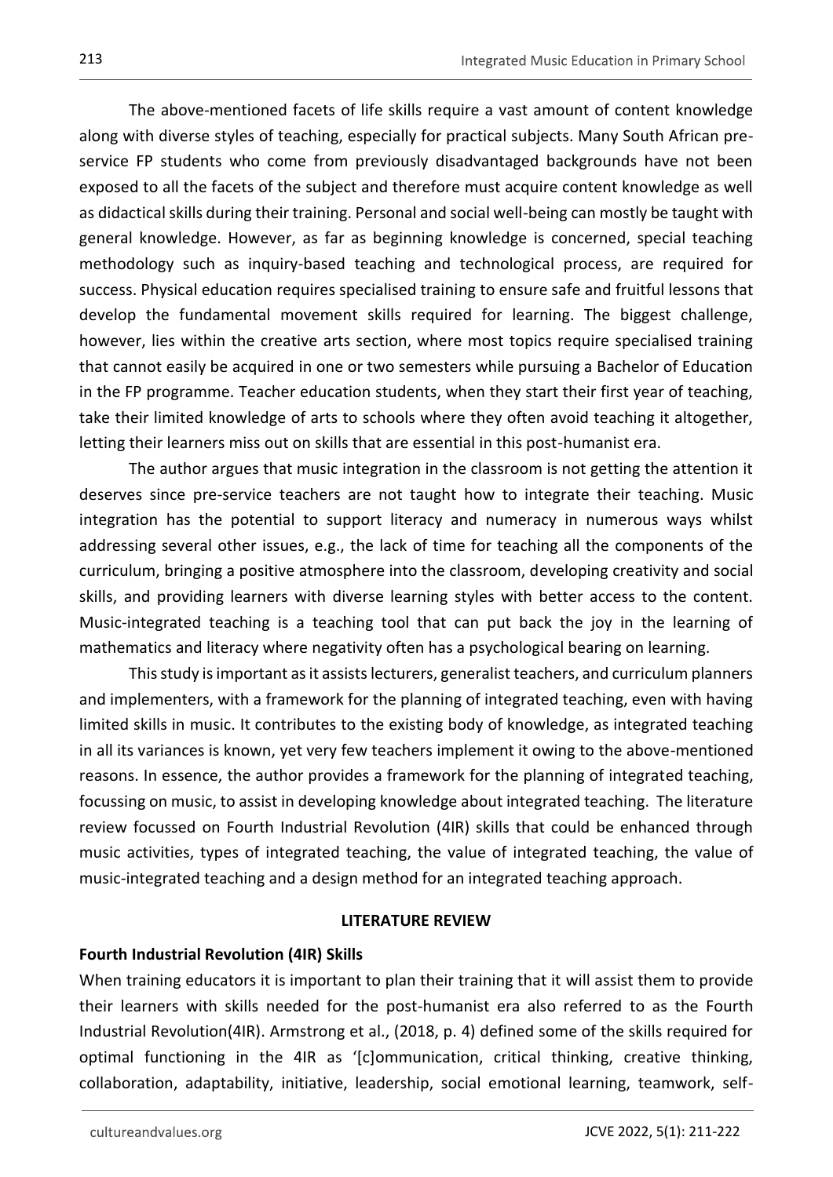The above-mentioned facets of life skills require a vast amount of content knowledge along with diverse styles of teaching, especially for practical subjects. Many South African preservice FP students who come from previously disadvantaged backgrounds have not been exposed to all the facets of the subject and therefore must acquire content knowledge as well as didactical skills during their training. Personal and social well-being can mostly be taught with general knowledge. However, as far as beginning knowledge is concerned, special teaching methodology such as inquiry-based teaching and technological process, are required for success. Physical education requires specialised training to ensure safe and fruitful lessons that develop the fundamental movement skills required for learning. The biggest challenge, however, lies within the creative arts section, where most topics require specialised training that cannot easily be acquired in one or two semesters while pursuing a Bachelor of Education in the FP programme. Teacher education students, when they start their first year of teaching, take their limited knowledge of arts to schools where they often avoid teaching it altogether, letting their learners miss out on skills that are essential in this post-humanist era.

The author argues that music integration in the classroom is not getting the attention it deserves since pre-service teachers are not taught how to integrate their teaching. Music integration has the potential to support literacy and numeracy in numerous ways whilst addressing several other issues, e.g., the lack of time for teaching all the components of the curriculum, bringing a positive atmosphere into the classroom, developing creativity and social skills, and providing learners with diverse learning styles with better access to the content. Music-integrated teaching is a teaching tool that can put back the joy in the learning of mathematics and literacy where negativity often has a psychological bearing on learning.

This study is important as it assists lecturers, generalist teachers, and curriculum planners and implementers, with a framework for the planning of integrated teaching, even with having limited skills in music. It contributes to the existing body of knowledge, as integrated teaching in all its variances is known, yet very few teachers implement it owing to the above-mentioned reasons. In essence, the author provides a framework for the planning of integrated teaching, focussing on music, to assist in developing knowledge about integrated teaching. The literature review focussed on Fourth Industrial Revolution (4IR) skills that could be enhanced through music activities, types of integrated teaching, the value of integrated teaching, the value of music-integrated teaching and a design method for an integrated teaching approach.

### **LITERATURE REVIEW**

### **Fourth Industrial Revolution (4IR) Skills**

When training educators it is important to plan their training that it will assist them to provide their learners with skills needed for the post-humanist era also referred to as the Fourth Industrial Revolution(4IR). Armstrong et al., (2018, p. 4) defined some of the skills required for optimal functioning in the 4IR as '[c]ommunication, critical thinking, creative thinking, collaboration, adaptability, initiative, leadership, social emotional learning, teamwork, self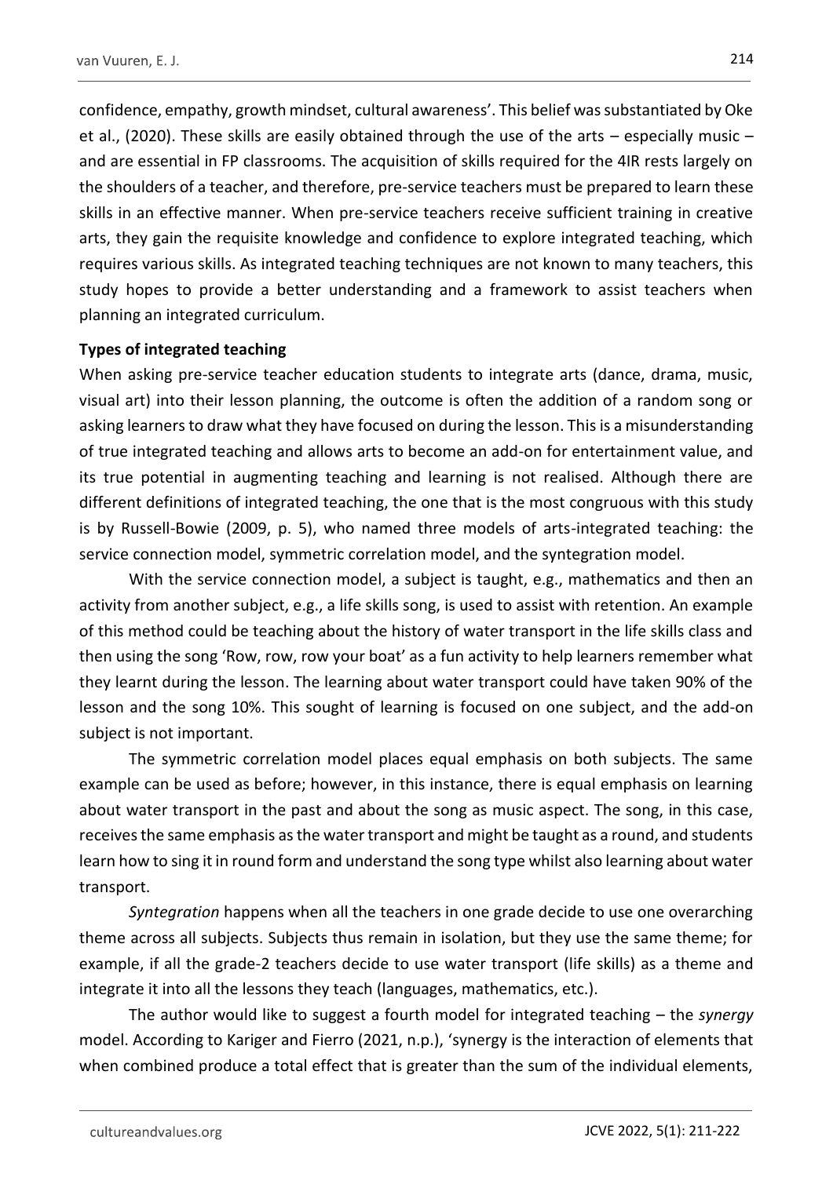confidence, empathy, growth mindset, cultural awareness'. This belief was substantiated by Oke et al., (2020). These skills are easily obtained through the use of the arts – especially music – and are essential in FP classrooms. The acquisition of skills required for the 4IR rests largely on the shoulders of a teacher, and therefore, pre-service teachers must be prepared to learn these skills in an effective manner. When pre-service teachers receive sufficient training in creative arts, they gain the requisite knowledge and confidence to explore integrated teaching, which requires various skills. As integrated teaching techniques are not known to many teachers, this study hopes to provide a better understanding and a framework to assist teachers when planning an integrated curriculum.

#### **Types of integrated teaching**

When asking pre-service teacher education students to integrate arts (dance, drama, music, visual art) into their lesson planning, the outcome is often the addition of a random song or asking learners to draw what they have focused on during the lesson. This is a misunderstanding of true integrated teaching and allows arts to become an add-on for entertainment value, and its true potential in augmenting teaching and learning is not realised. Although there are different definitions of integrated teaching, the one that is the most congruous with this study is by Russell-Bowie (2009, p. 5), who named three models of arts-integrated teaching: the service connection model, symmetric correlation model, and the syntegration model.

With the service connection model, a subject is taught, e.g., mathematics and then an activity from another subject, e.g., a life skills song, is used to assist with retention. An example of this method could be teaching about the history of water transport in the life skills class and then using the song 'Row, row, row your boat' as a fun activity to help learners remember what they learnt during the lesson. The learning about water transport could have taken 90% of the lesson and the song 10%. This sought of learning is focused on one subject, and the add-on subject is not important.

The symmetric correlation model places equal emphasis on both subjects. The same example can be used as before; however, in this instance, there is equal emphasis on learning about water transport in the past and about the song as music aspect. The song, in this case, receives the same emphasis as the water transport and might be taught as a round, and students learn how to sing it in round form and understand the song type whilst also learning about water transport.

*Syntegration* happens when all the teachers in one grade decide to use one overarching theme across all subjects. Subjects thus remain in isolation, but they use the same theme; for example, if all the grade-2 teachers decide to use water transport (life skills) as a theme and integrate it into all the lessons they teach (languages, mathematics, etc.).

The author would like to suggest a fourth model for integrated teaching – the *synergy*  model. According to Kariger and Fierro (2021, n.p.), 'synergy is the interaction of elements that when combined produce a total effect that is greater than the sum of the individual elements,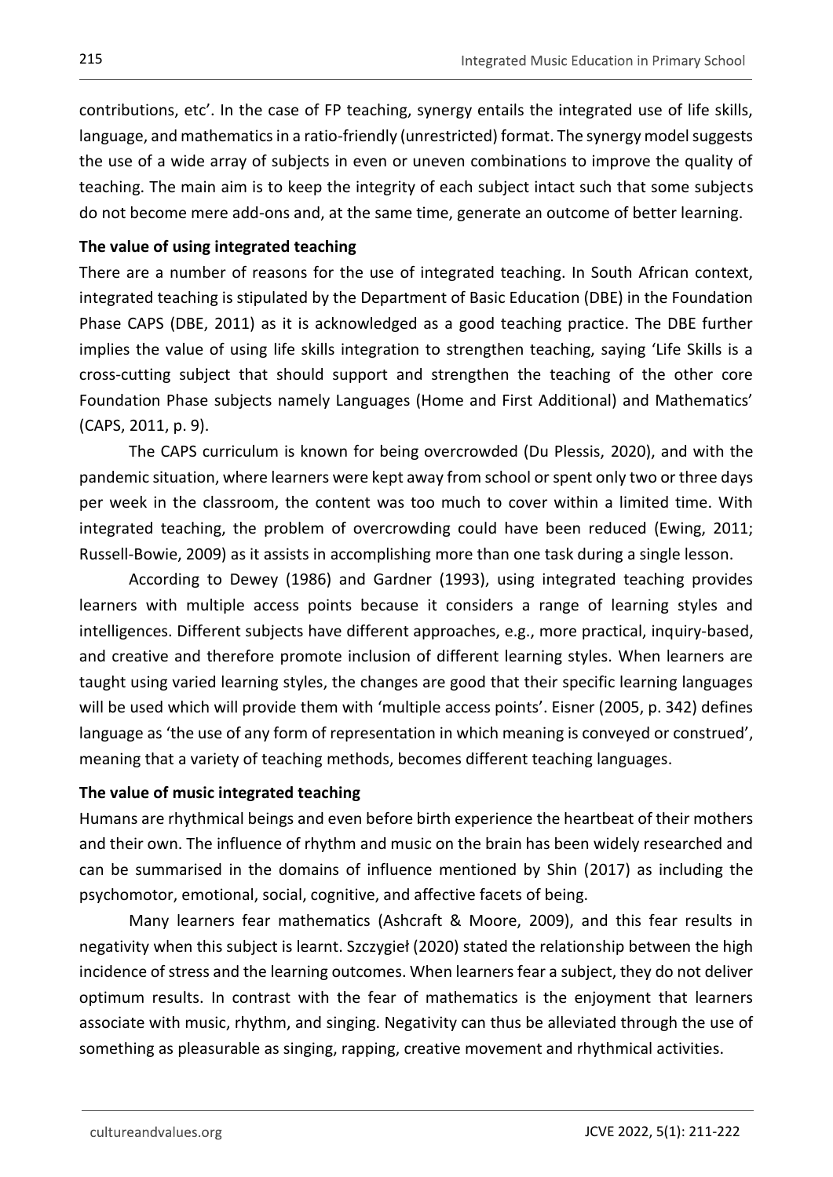contributions, etc'. In the case of FP teaching, synergy entails the integrated use of life skills, language, and mathematics in a ratio-friendly (unrestricted) format. The synergy model suggests the use of a wide array of subjects in even or uneven combinations to improve the quality of teaching. The main aim is to keep the integrity of each subject intact such that some subjects do not become mere add-ons and, at the same time, generate an outcome of better learning.

### **The value of using integrated teaching**

There are a number of reasons for the use of integrated teaching. In South African context, integrated teaching is stipulated by the Department of Basic Education (DBE) in the Foundation Phase CAPS (DBE, 2011) as it is acknowledged as a good teaching practice. The DBE further implies the value of using life skills integration to strengthen teaching, saying 'Life Skills is a cross-cutting subject that should support and strengthen the teaching of the other core Foundation Phase subjects namely Languages (Home and First Additional) and Mathematics' (CAPS, 2011, p. 9).

The CAPS curriculum is known for being overcrowded (Du Plessis, 2020), and with the pandemic situation, where learners were kept away from school or spent only two or three days per week in the classroom, the content was too much to cover within a limited time. With integrated teaching, the problem of overcrowding could have been reduced (Ewing, 2011; Russell-Bowie, 2009) as it assists in accomplishing more than one task during a single lesson.

According to Dewey (1986) and Gardner (1993), using integrated teaching provides learners with multiple access points because it considers a range of learning styles and intelligences. Different subjects have different approaches, e.g., more practical, inquiry-based, and creative and therefore promote inclusion of different learning styles. When learners are taught using varied learning styles, the changes are good that their specific learning languages will be used which will provide them with 'multiple access points'. Eisner (2005, p. 342) defines language as 'the use of any form of representation in which meaning is conveyed or construed', meaning that a variety of teaching methods, becomes different teaching languages.

### **The value of music integrated teaching**

Humans are rhythmical beings and even before birth experience the heartbeat of their mothers and their own. The influence of rhythm and music on the brain has been widely researched and can be summarised in the domains of influence mentioned by Shin (2017) as including the psychomotor, emotional, social, cognitive, and affective facets of being.

Many learners fear mathematics (Ashcraft & Moore, 2009), and this fear results in negativity when this subject is learnt. Szczygieł (2020) stated the relationship between the high incidence of stress and the learning outcomes. When learners fear a subject, they do not deliver optimum results. In contrast with the fear of mathematics is the enjoyment that learners associate with music, rhythm, and singing. Negativity can thus be alleviated through the use of something as pleasurable as singing, rapping, creative movement and rhythmical activities.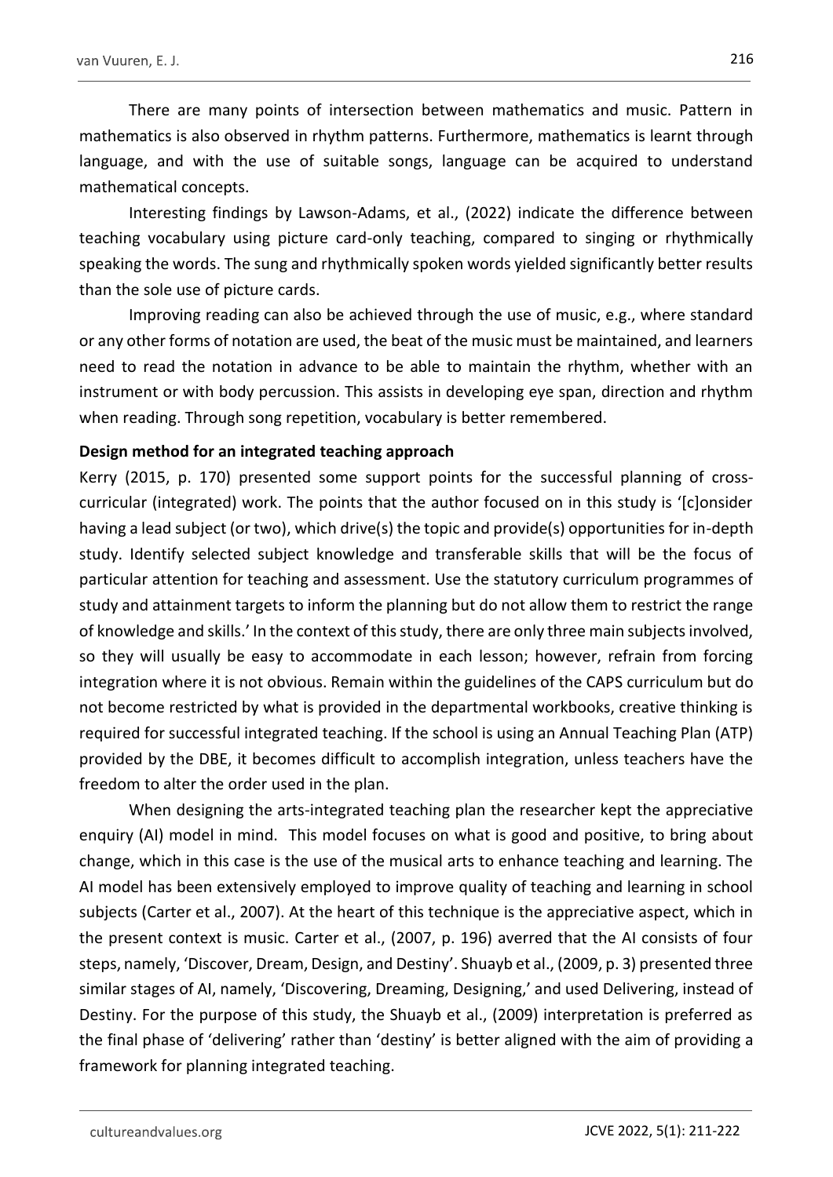There are many points of intersection between mathematics and music. Pattern in mathematics is also observed in rhythm patterns. Furthermore, mathematics is learnt through language, and with the use of suitable songs, language can be acquired to understand mathematical concepts.

Interesting findings by Lawson-Adams, et al., (2022) indicate the difference between teaching vocabulary using picture card-only teaching, compared to singing or rhythmically speaking the words. The sung and rhythmically spoken words yielded significantly better results than the sole use of picture cards.

Improving reading can also be achieved through the use of music, e.g., where standard or any other forms of notation are used, the beat of the music must be maintained, and learners need to read the notation in advance to be able to maintain the rhythm, whether with an instrument or with body percussion. This assists in developing eye span, direction and rhythm when reading. Through song repetition, vocabulary is better remembered.

#### **Design method for an integrated teaching approach**

Kerry (2015, p. 170) presented some support points for the successful planning of crosscurricular (integrated) work. The points that the author focused on in this study is '[c]onsider having a lead subject (or two), which drive(s) the topic and provide(s) opportunities for in-depth study. Identify selected subject knowledge and transferable skills that will be the focus of particular attention for teaching and assessment. Use the statutory curriculum programmes of study and attainment targets to inform the planning but do not allow them to restrict the range of knowledge and skills.' In the context of this study, there are only three main subjects involved, so they will usually be easy to accommodate in each lesson; however, refrain from forcing integration where it is not obvious. Remain within the guidelines of the CAPS curriculum but do not become restricted by what is provided in the departmental workbooks, creative thinking is required for successful integrated teaching. If the school is using an Annual Teaching Plan (ATP) provided by the DBE, it becomes difficult to accomplish integration, unless teachers have the freedom to alter the order used in the plan.

When designing the arts-integrated teaching plan the researcher kept the appreciative enquiry (AI) model in mind. This model focuses on what is good and positive, to bring about change, which in this case is the use of the musical arts to enhance teaching and learning. The AI model has been extensively employed to improve quality of teaching and learning in school subjects (Carter et al., 2007). At the heart of this technique is the appreciative aspect, which in the present context is music. Carter et al., (2007, p. 196) averred that the AI consists of four steps, namely, 'Discover, Dream, Design, and Destiny'. Shuayb et al., (2009, p. 3) presented three similar stages of AI, namely, 'Discovering, Dreaming, Designing,' and used Delivering, instead of Destiny. For the purpose of this study, the Shuayb et al., (2009) interpretation is preferred as the final phase of 'delivering' rather than 'destiny' is better aligned with the aim of providing a framework for planning integrated teaching.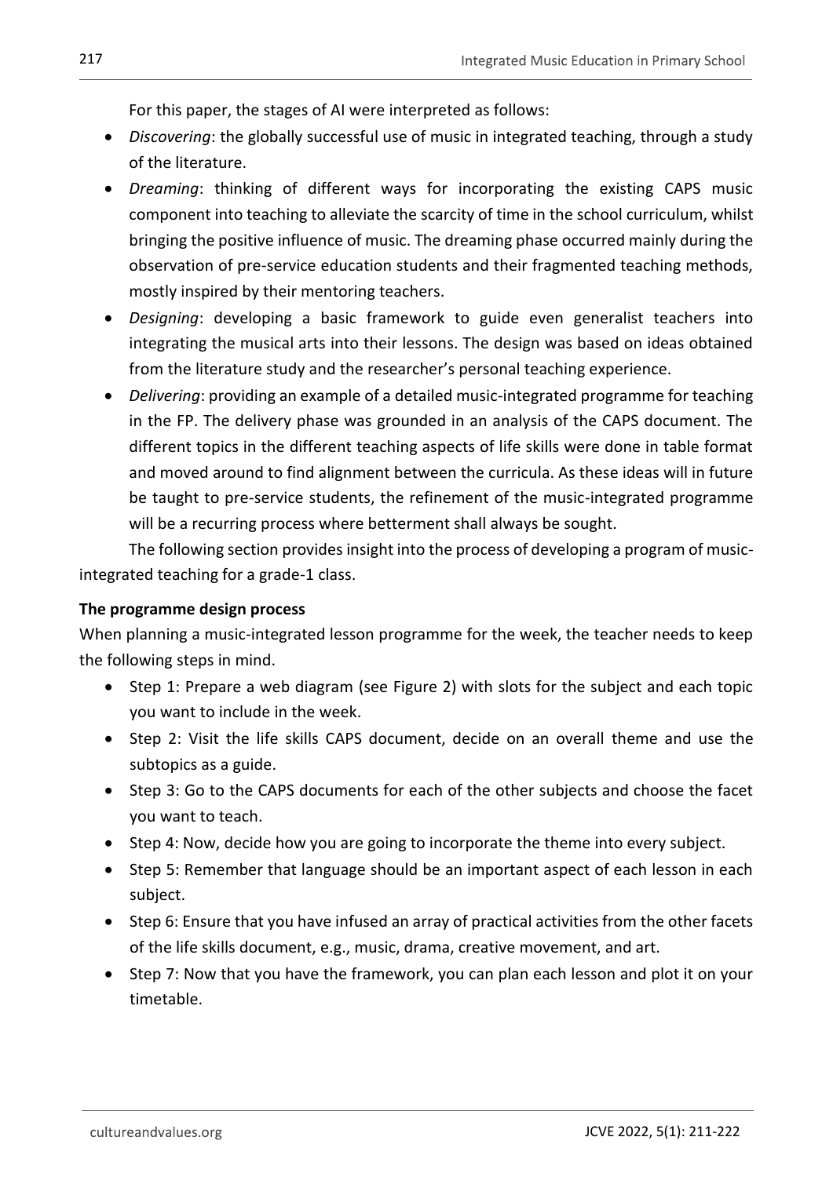For this paper, the stages of AI were interpreted as follows:

- *Discovering*: the globally successful use of music in integrated teaching, through a study of the literature.
- *Dreaming*: thinking of different ways for incorporating the existing CAPS music component into teaching to alleviate the scarcity of time in the school curriculum, whilst bringing the positive influence of music. The dreaming phase occurred mainly during the observation of pre-service education students and their fragmented teaching methods, mostly inspired by their mentoring teachers.
- *Designing*: developing a basic framework to guide even generalist teachers into integrating the musical arts into their lessons. The design was based on ideas obtained from the literature study and the researcher's personal teaching experience.
- *Delivering*: providing an example of a detailed music-integrated programme for teaching in the FP. The delivery phase was grounded in an analysis of the CAPS document. The different topics in the different teaching aspects of life skills were done in table format and moved around to find alignment between the curricula. As these ideas will in future be taught to pre-service students, the refinement of the music-integrated programme will be a recurring process where betterment shall always be sought.

The following section provides insight into the process of developing a program of musicintegrated teaching for a grade-1 class.

### **The programme design process**

When planning a music-integrated lesson programme for the week, the teacher needs to keep the following steps in mind.

- Step 1: Prepare a web diagram (see Figure 2) with slots for the subject and each topic you want to include in the week.
- Step 2: Visit the life skills CAPS document, decide on an overall theme and use the subtopics as a guide.
- Step 3: Go to the CAPS documents for each of the other subjects and choose the facet you want to teach.
- Step 4: Now, decide how you are going to incorporate the theme into every subject.
- Step 5: Remember that language should be an important aspect of each lesson in each subject.
- Step 6: Ensure that you have infused an array of practical activities from the other facets of the life skills document, e.g., music, drama, creative movement, and art.
- Step 7: Now that you have the framework, you can plan each lesson and plot it on your timetable.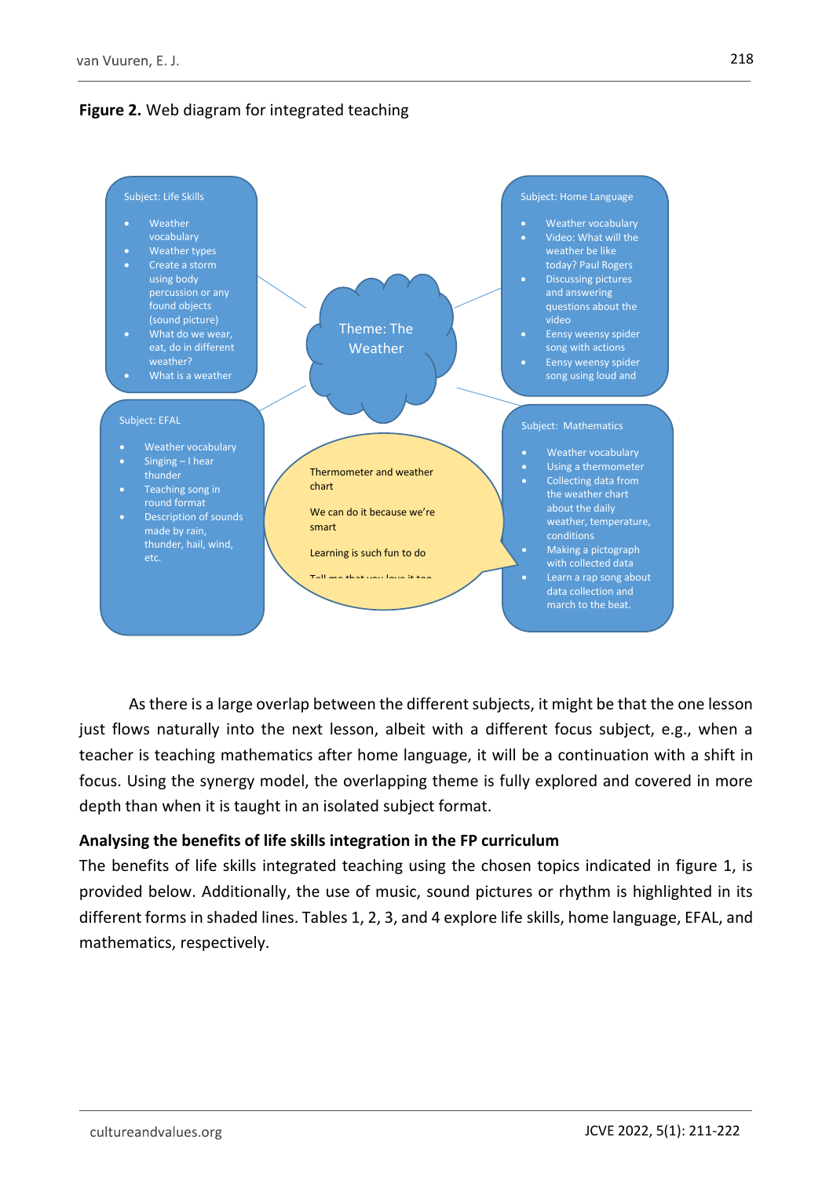



As there is a large overlap between the different subjects, it might be that the one lesson just flows naturally into the next lesson, albeit with a different focus subject, e.g., when a teacher is teaching mathematics after home language, it will be a continuation with a shift in focus. Using the synergy model, the overlapping theme is fully explored and covered in more depth than when it is taught in an isolated subject format.

### **Analysing the benefits of life skills integration in the FP curriculum**

The benefits of life skills integrated teaching using the chosen topics indicated in figure 1, is provided below. Additionally, the use of music, sound pictures or rhythm is highlighted in its different forms in shaded lines. Tables 1, 2, 3, and 4 explore life skills, home language, EFAL, and mathematics, respectively.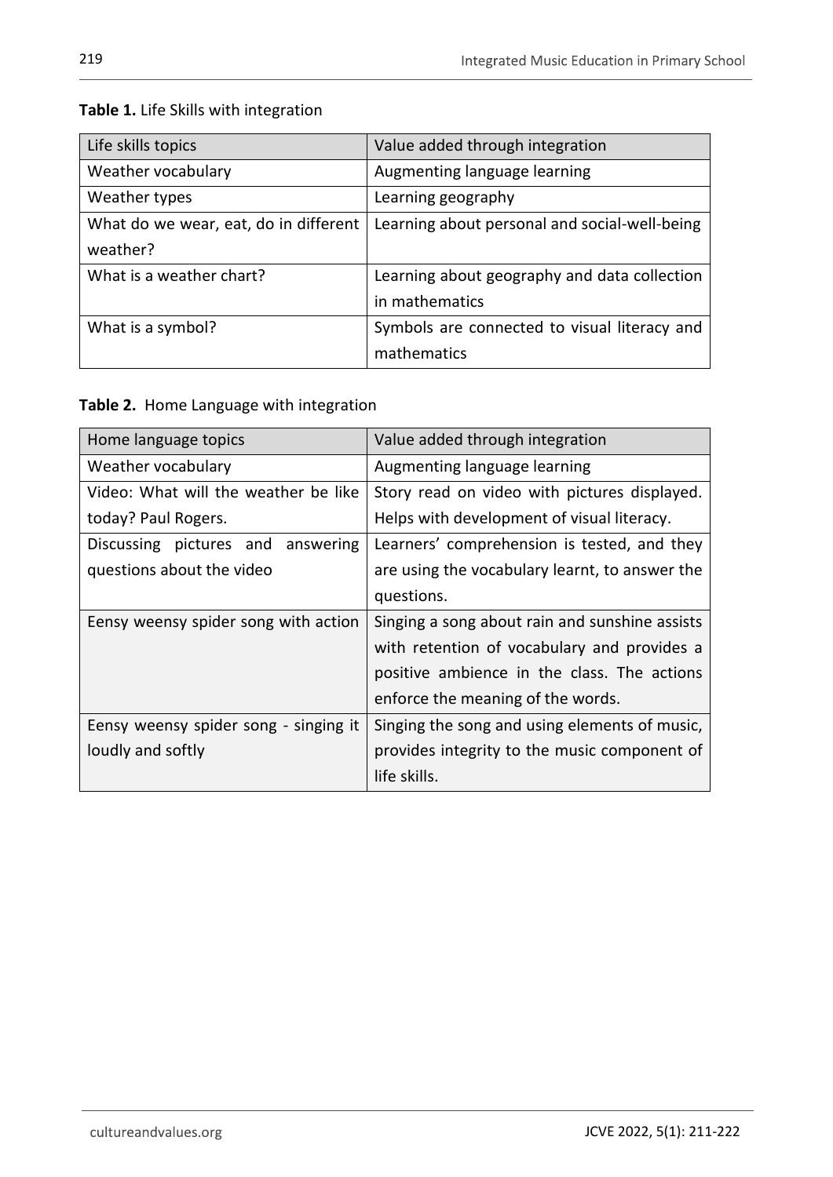| Life skills topics                    | Value added through integration               |
|---------------------------------------|-----------------------------------------------|
| Weather vocabulary                    | Augmenting language learning                  |
| Weather types                         | Learning geography                            |
| What do we wear, eat, do in different | Learning about personal and social-well-being |
| weather?                              |                                               |
| What is a weather chart?              | Learning about geography and data collection  |
|                                       | in mathematics                                |
| What is a symbol?                     | Symbols are connected to visual literacy and  |
|                                       | mathematics                                   |

### **Table 1.** Life Skills with integration

**Table 2.** Home Language with integration

| Home language topics                  | Value added through integration                |
|---------------------------------------|------------------------------------------------|
| Weather vocabulary                    | Augmenting language learning                   |
| Video: What will the weather be like  | Story read on video with pictures displayed.   |
| today? Paul Rogers.                   | Helps with development of visual literacy.     |
| Discussing pictures and<br>answering  | Learners' comprehension is tested, and they    |
| questions about the video             | are using the vocabulary learnt, to answer the |
|                                       | questions.                                     |
| Eensy weensy spider song with action  | Singing a song about rain and sunshine assists |
|                                       | with retention of vocabulary and provides a    |
|                                       | positive ambience in the class. The actions    |
|                                       | enforce the meaning of the words.              |
| Eensy weensy spider song - singing it | Singing the song and using elements of music,  |
| loudly and softly                     | provides integrity to the music component of   |
|                                       | life skills.                                   |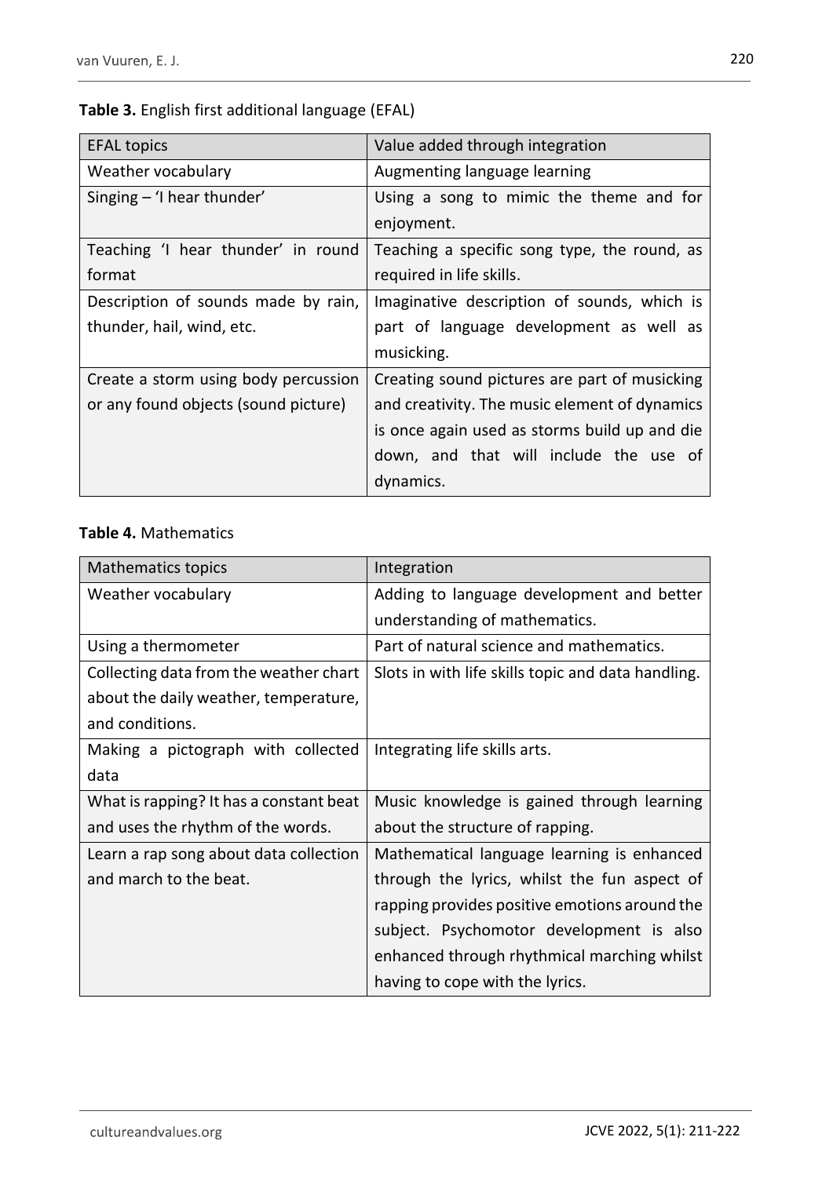# **Table 3.** English first additional language (EFAL)

| <b>EFAL topics</b>                   | Value added through integration               |
|--------------------------------------|-----------------------------------------------|
| Weather vocabulary                   | Augmenting language learning                  |
| Singing $-$ 'I hear thunder'         | Using a song to mimic the theme and for       |
|                                      | enjoyment.                                    |
| Teaching 'I hear thunder' in round   | Teaching a specific song type, the round, as  |
| format                               | required in life skills.                      |
| Description of sounds made by rain,  | Imaginative description of sounds, which is   |
| thunder, hail, wind, etc.            | part of language development as well as       |
|                                      | musicking.                                    |
| Create a storm using body percussion | Creating sound pictures are part of musicking |
| or any found objects (sound picture) | and creativity. The music element of dynamics |
|                                      | is once again used as storms build up and die |
|                                      | down, and that will include the use of        |
|                                      | dynamics.                                     |

## **Table 4.** Mathematics

| <b>Mathematics topics</b>               | Integration                                        |
|-----------------------------------------|----------------------------------------------------|
| Weather vocabulary                      | Adding to language development and better          |
|                                         | understanding of mathematics.                      |
| Using a thermometer                     | Part of natural science and mathematics.           |
| Collecting data from the weather chart  | Slots in with life skills topic and data handling. |
| about the daily weather, temperature,   |                                                    |
| and conditions.                         |                                                    |
| Making a pictograph with collected      | Integrating life skills arts.                      |
| data                                    |                                                    |
| What is rapping? It has a constant beat | Music knowledge is gained through learning         |
| and uses the rhythm of the words.       | about the structure of rapping.                    |
| Learn a rap song about data collection  | Mathematical language learning is enhanced         |
| and march to the beat.                  | through the lyrics, whilst the fun aspect of       |
|                                         | rapping provides positive emotions around the      |
|                                         | subject. Psychomotor development is also           |
|                                         | enhanced through rhythmical marching whilst        |
|                                         | having to cope with the lyrics.                    |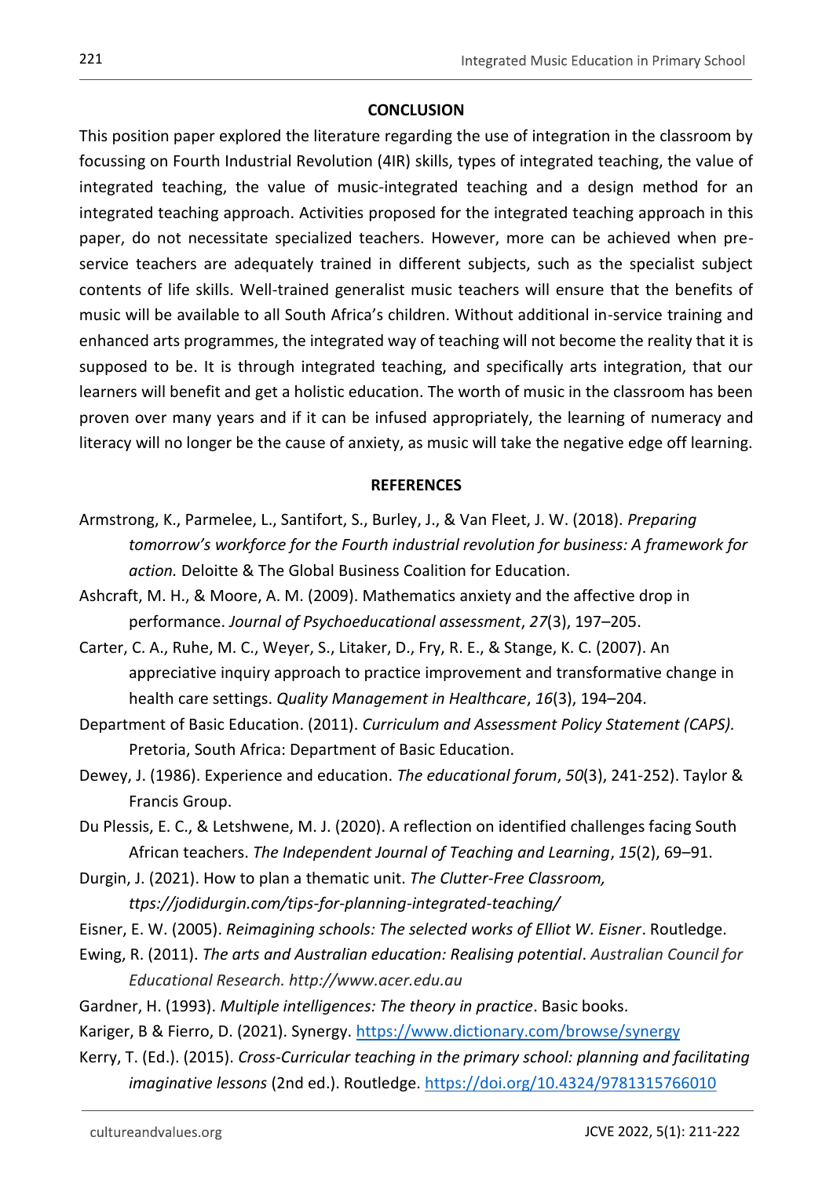### **CONCLUSION**

This position paper explored the literature regarding the use of integration in the classroom by focussing on Fourth Industrial Revolution (4IR) skills, types of integrated teaching, the value of integrated teaching, the value of music-integrated teaching and a design method for an integrated teaching approach. Activities proposed for the integrated teaching approach in this paper, do not necessitate specialized teachers. However, more can be achieved when preservice teachers are adequately trained in different subjects, such as the specialist subject contents of life skills. Well-trained generalist music teachers will ensure that the benefits of music will be available to all South Africa's children. Without additional in-service training and enhanced arts programmes, the integrated way of teaching will not become the reality that it is supposed to be. It is through integrated teaching, and specifically arts integration, that our learners will benefit and get a holistic education. The worth of music in the classroom has been proven over many years and if it can be infused appropriately, the learning of numeracy and literacy will no longer be the cause of anxiety, as music will take the negative edge off learning.

### **REFERENCES**

- Armstrong, K., Parmelee, L., Santifort, S., Burley, J., & Van Fleet, J. W. (2018). *Preparing tomorrow's workforce for the Fourth industrial revolution for business: A framework for action.* Deloitte & The Global Business Coalition for Education.
- Ashcraft, M. H., & Moore, A. M. (2009). Mathematics anxiety and the affective drop in performance. *Journal of Psychoeducational assessment*, *27*(3), 197–205.
- Carter, C. A., Ruhe, M. C., Weyer, S., Litaker, D., Fry, R. E., & Stange, K. C. (2007). An appreciative inquiry approach to practice improvement and transformative change in health care settings. *Quality Management in Healthcare*, *16*(3), 194–204.
- Department of Basic Education. (2011). *Curriculum and Assessment Policy Statement (CAPS).* Pretoria, South Africa: Department of Basic Education.
- Dewey, J. (1986). Experience and education. *The educational forum*, *50*(3), 241-252). Taylor & Francis Group.
- Du Plessis, E. C., & Letshwene, M. J. (2020). A reflection on identified challenges facing South African teachers. *The Independent Journal of Teaching and Learning*, *15*(2), 69–91.
- Durgin, J. (2021). How to plan a thematic unit. *The Clutter-Free Classroom, ttps://jodidurgin.com/tips-for-planning-integrated-teaching/*
- Eisner, E. W. (2005). *Reimagining schools: The selected works of Elliot W. Eisner*. Routledge.
- Ewing, R. (2011). *The arts and Australian education: Realising potential*. *Australian Council for Educational Research. http://www.acer.edu.au*
- Gardner, H. (1993). *Multiple intelligences: The theory in practice*. Basic books.
- Kariger, B & Fierro, D. (2021). Synergy.<https://www.dictionary.com/browse/synergy>
- Kerry, T. (Ed.). (2015). *Cross-Curricular teaching in the primary school: planning and facilitating imaginative lessons* (2nd ed.). Routledge.<https://doi.org/10.4324/9781315766010>